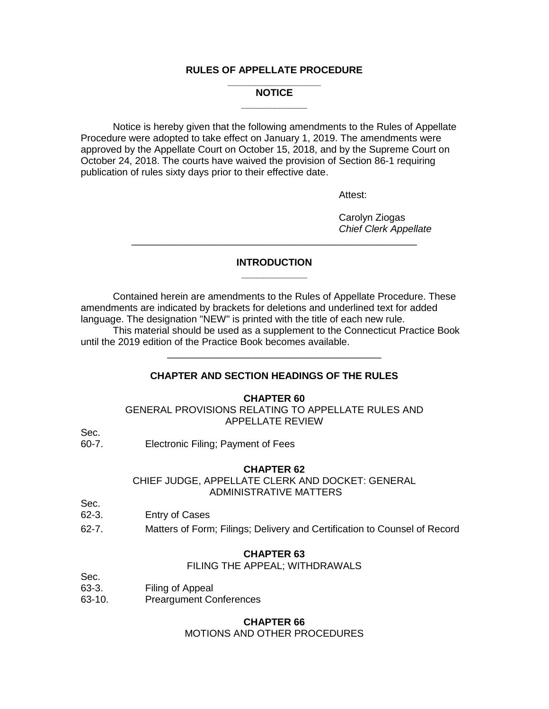## **RULES OF APPELLATE PROCEDURE**

#### **\_\_\_\_\_\_\_\_\_\_\_\_\_\_\_\_\_ NOTICE \_\_\_\_\_\_\_\_\_\_\_\_**

Notice is hereby given that the following amendments to the Rules of Appellate Procedure were adopted to take effect on January 1, 2019. The amendments were approved by the Appellate Court on October 15, 2018, and by the Supreme Court on October 24, 2018. The courts have waived the provision of Section 86-1 requiring publication of rules sixty days prior to their effective date.

Attest:

Carolyn Ziogas *Chief Clerk Appellate*

#### **INTRODUCTION \_\_\_\_\_\_\_\_\_\_\_\_**

\_\_\_\_\_\_\_\_\_\_\_\_\_\_\_\_\_\_\_\_\_\_\_\_\_\_\_\_\_\_\_\_\_\_\_\_\_\_\_\_\_\_\_\_\_\_\_\_\_\_\_\_

Contained herein are amendments to the Rules of Appellate Procedure. These amendments are indicated by brackets for deletions and underlined text for added language. The designation "NEW" is printed with the title of each new rule.

This material should be used as a supplement to the Connecticut Practice Book until the 2019 edition of the Practice Book becomes available.

## **CHAPTER AND SECTION HEADINGS OF THE RULES**

\_\_\_\_\_\_\_\_\_\_\_\_\_\_\_\_\_\_\_\_\_\_\_\_\_\_\_\_\_\_\_\_\_\_\_\_\_\_\_

## **CHAPTER 60**

GENERAL PROVISIONS RELATING TO APPELLATE RULES AND APPELLATE REVIEW

Sec.<br>60-7. Electronic Filing; Payment of Fees

#### **CHAPTER 62**

CHIEF JUDGE, APPELLATE CLERK AND DOCKET: GENERAL ADMINISTRATIVE MATTERS

- Sec. 62-3. Entry of Cases
- 62-7. Matters of Form; Filings; Delivery and Certification to Counsel of Record

#### **CHAPTER 63**

#### FILING THE APPEAL; WITHDRAWALS

- Sec. 63-3. Filing of Appeal
- 63-10. Preargument Conferences

## **CHAPTER 66**

MOTIONS AND OTHER PROCEDURES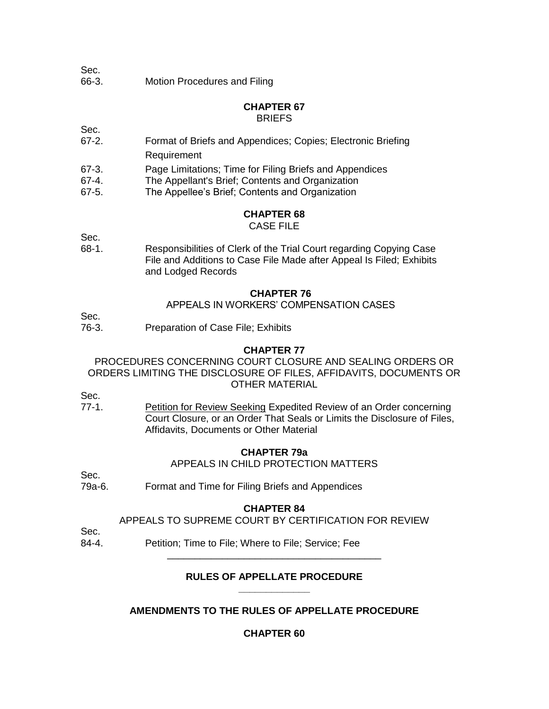- Sec.
- 66-3. Motion Procedures and Filing

#### **CHAPTER 67 BRIEFS**

Sec.

- 67-2. Format of Briefs and Appendices; Copies; Electronic Briefing Requirement
- 67-3. Page Limitations; Time for Filing Briefs and Appendices
- 67-4. The Appellant's Brief; Contents and Organization
- 67-5. The Appellee's Brief; Contents and Organization

# **CHAPTER 68**

# CASE FILE

Sec.

68-1. Responsibilities of Clerk of the Trial Court regarding Copying Case File and Additions to Case File Made after Appeal Is Filed; Exhibits and Lodged Records

#### **CHAPTER 76**

APPEALS IN WORKERS' COMPENSATION CASES

Sec.

76-3. Preparation of Case File; Exhibits

#### **CHAPTER 77**

PROCEDURES CONCERNING COURT CLOSURE AND SEALING ORDERS OR ORDERS LIMITING THE DISCLOSURE OF FILES, AFFIDAVITS, DOCUMENTS OR OTHER MATERIAL

Sec.

77-1. Petition for Review Seeking Expedited Review of an Order concerning Court Closure, or an Order That Seals or Limits the Disclosure of Files, Affidavits, Documents or Other Material

### **CHAPTER 79a**

APPEALS IN CHILD PROTECTION MATTERS

Sec.

79a-6. Format and Time for Filing Briefs and Appendices

#### **CHAPTER 84**

APPEALS TO SUPREME COURT BY CERTIFICATION FOR REVIEW

Sec.

84-4. Petition; Time to File; Where to File; Service; Fee

#### **RULES OF APPELLATE PROCEDURE \_\_\_\_\_\_\_\_\_\_\_\_\_**

\_\_\_\_\_\_\_\_\_\_\_\_\_\_\_\_\_\_\_\_\_\_\_\_\_\_\_\_\_\_\_\_\_\_\_\_\_\_\_

# **AMENDMENTS TO THE RULES OF APPELLATE PROCEDURE**

# **CHAPTER 60**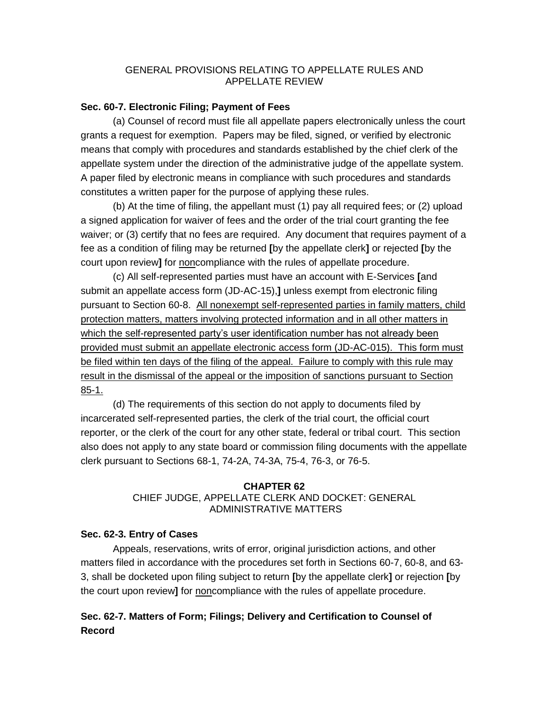## GENERAL PROVISIONS RELATING TO APPELLATE RULES AND APPELLATE REVIEW

## **Sec. 60-7. Electronic Filing; Payment of Fees**

(a) Counsel of record must file all appellate papers electronically unless the court grants a request for exemption. Papers may be filed, signed, or verified by electronic means that comply with procedures and standards established by the chief clerk of the appellate system under the direction of the administrative judge of the appellate system. A paper filed by electronic means in compliance with such procedures and standards constitutes a written paper for the purpose of applying these rules.

(b) At the time of filing, the appellant must (1) pay all required fees; or (2) upload a signed application for waiver of fees and the order of the trial court granting the fee waiver; or (3) certify that no fees are required. Any document that requires payment of a fee as a condition of filing may be returned **[**by the appellate clerk**]** or rejected **[**by the court upon review**]** for noncompliance with the rules of appellate procedure.

(c) All self-represented parties must have an account with E-Services **[**and submit an appellate access form (JD-AC-15),**]** unless exempt from electronic filing pursuant to Section 60-8. All nonexempt self-represented parties in family matters, child protection matters, matters involving protected information and in all other matters in which the self-represented party's user identification number has not already been provided must submit an appellate electronic access form (JD-AC-015). This form must be filed within ten days of the filing of the appeal. Failure to comply with this rule may result in the dismissal of the appeal or the imposition of sanctions pursuant to Section 85-1.

(d) The requirements of this section do not apply to documents filed by incarcerated self-represented parties, the clerk of the trial court, the official court reporter, or the clerk of the court for any other state, federal or tribal court. This section also does not apply to any state board or commission filing documents with the appellate clerk pursuant to Sections 68-1, 74-2A, 74-3A, 75-4, 76-3, or 76-5.

# **CHAPTER 62** CHIEF JUDGE, APPELLATE CLERK AND DOCKET: GENERAL ADMINISTRATIVE MATTERS

# **Sec. 62-3. Entry of Cases**

Appeals, reservations, writs of error, original jurisdiction actions, and other matters filed in accordance with the procedures set forth in Sections 60-7, 60-8, and 63- 3, shall be docketed upon filing subject to return **[**by the appellate clerk**]** or rejection **[**by the court upon review**]** for noncompliance with the rules of appellate procedure.

# **Sec. 62-7. Matters of Form; Filings; Delivery and Certification to Counsel of Record**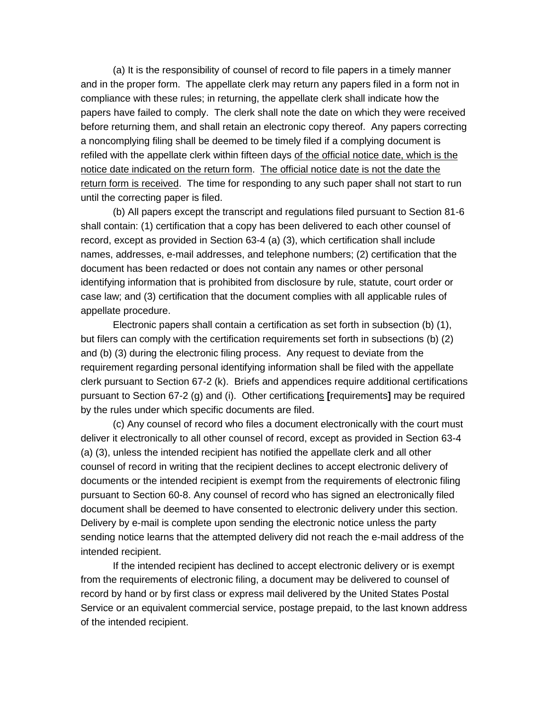(a) It is the responsibility of counsel of record to file papers in a timely manner and in the proper form. The appellate clerk may return any papers filed in a form not in compliance with these rules; in returning, the appellate clerk shall indicate how the papers have failed to comply. The clerk shall note the date on which they were received before returning them, and shall retain an electronic copy thereof. Any papers correcting a noncomplying filing shall be deemed to be timely filed if a complying document is refiled with the appellate clerk within fifteen days of the official notice date, which is the notice date indicated on the return form. The official notice date is not the date the return form is received. The time for responding to any such paper shall not start to run until the correcting paper is filed.

(b) All papers except the transcript and regulations filed pursuant to Section 81-6 shall contain: (1) certification that a copy has been delivered to each other counsel of record, except as provided in Section 63-4 (a) (3), which certification shall include names, addresses, e-mail addresses, and telephone numbers; (2) certification that the document has been redacted or does not contain any names or other personal identifying information that is prohibited from disclosure by rule, statute, court order or case law; and (3) certification that the document complies with all applicable rules of appellate procedure.

Electronic papers shall contain a certification as set forth in subsection (b) (1), but filers can comply with the certification requirements set forth in subsections (b) (2) and (b) (3) during the electronic filing process. Any request to deviate from the requirement regarding personal identifying information shall be filed with the appellate clerk pursuant to Section 67-2 (k). Briefs and appendices require additional certifications pursuant to Section 67-2 (g) and (i). Other certifications **[**requirements**]** may be required by the rules under which specific documents are filed.

(c) Any counsel of record who files a document electronically with the court must deliver it electronically to all other counsel of record, except as provided in Section 63-4 (a) (3), unless the intended recipient has notified the appellate clerk and all other counsel of record in writing that the recipient declines to accept electronic delivery of documents or the intended recipient is exempt from the requirements of electronic filing pursuant to Section 60-8. Any counsel of record who has signed an electronically filed document shall be deemed to have consented to electronic delivery under this section. Delivery by e-mail is complete upon sending the electronic notice unless the party sending notice learns that the attempted delivery did not reach the e-mail address of the intended recipient.

If the intended recipient has declined to accept electronic delivery or is exempt from the requirements of electronic filing, a document may be delivered to counsel of record by hand or by first class or express mail delivered by the United States Postal Service or an equivalent commercial service, postage prepaid, to the last known address of the intended recipient.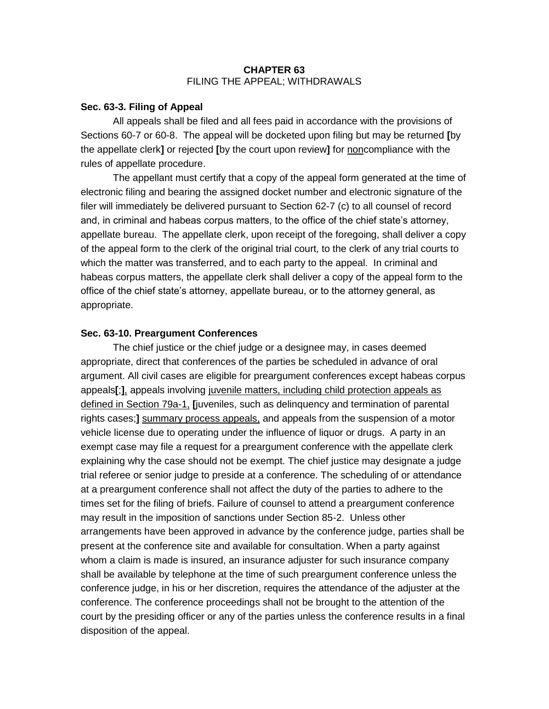## **CHAPTER 63** FILING THE APPEAL; WITHDRAWALS

## **Sec. 63-3. Filing of Appeal**

All appeals shall be filed and all fees paid in accordance with the provisions of Sections 60-7 or 60-8. The appeal will be docketed upon filing but may be returned **[**by the appellate clerk**]** or rejected **[**by the court upon review**]** for noncompliance with the rules of appellate procedure.

The appellant must certify that a copy of the appeal form generated at the time of electronic filing and bearing the assigned docket number and electronic signature of the filer will immediately be delivered pursuant to Section 62-7 (c) to all counsel of record and, in criminal and habeas corpus matters, to the office of the chief state's attorney, appellate bureau. The appellate clerk, upon receipt of the foregoing, shall deliver a copy of the appeal form to the clerk of the original trial court, to the clerk of any trial courts to which the matter was transferred, and to each party to the appeal. In criminal and habeas corpus matters, the appellate clerk shall deliver a copy of the appeal form to the office of the chief state's attorney, appellate bureau, or to the attorney general, as appropriate.

## **Sec. 63-10. Preargument Conferences**

The chief justice or the chief judge or a designee may, in cases deemed appropriate, direct that conferences of the parties be scheduled in advance of oral argument. All civil cases are eligible for preargument conferences except habeas corpus appeals**[**;**]**, appeals involving juvenile matters, including child protection appeals as defined in Section 79a-1, **[**juveniles, such as delinquency and termination of parental rights cases;**]** summary process appeals, and appeals from the suspension of a motor vehicle license due to operating under the influence of liquor or drugs. A party in an exempt case may file a request for a preargument conference with the appellate clerk explaining why the case should not be exempt. The chief justice may designate a judge trial referee or senior judge to preside at a conference. The scheduling of or attendance at a preargument conference shall not affect the duty of the parties to adhere to the times set for the filing of briefs. Failure of counsel to attend a preargument conference may result in the imposition of sanctions under Section 85-2. Unless other arrangements have been approved in advance by the conference judge, parties shall be present at the conference site and available for consultation. When a party against whom a claim is made is insured, an insurance adjuster for such insurance company shall be available by telephone at the time of such preargument conference unless the conference judge, in his or her discretion, requires the attendance of the adjuster at the conference. The conference proceedings shall not be brought to the attention of the court by the presiding officer or any of the parties unless the conference results in a final disposition of the appeal.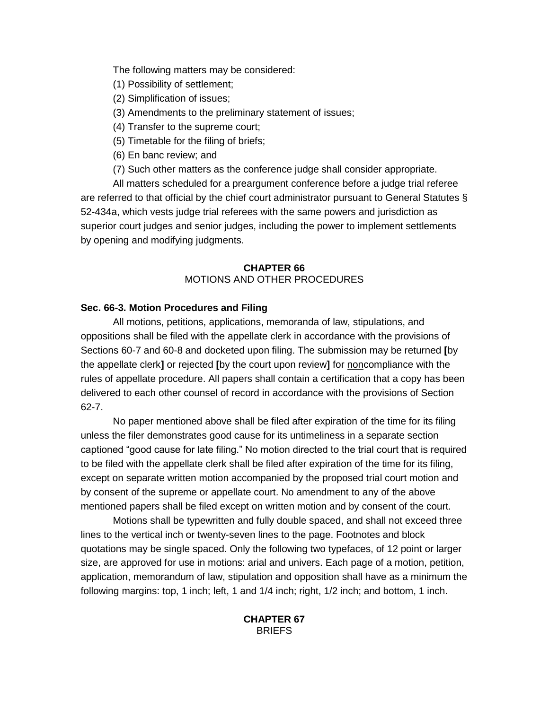The following matters may be considered:

- (1) Possibility of settlement;
- (2) Simplification of issues;
- (3) Amendments to the preliminary statement of issues;
- (4) Transfer to the supreme court;
- (5) Timetable for the filing of briefs;
- (6) En banc review; and
- (7) Such other matters as the conference judge shall consider appropriate.

All matters scheduled for a preargument conference before a judge trial referee are referred to that official by the chief court administrator pursuant to General Statutes § 52-434a, which vests judge trial referees with the same powers and jurisdiction as superior court judges and senior judges, including the power to implement settlements by opening and modifying judgments.

# **CHAPTER 66** MOTIONS AND OTHER PROCEDURES

# **Sec. 66-3. Motion Procedures and Filing**

All motions, petitions, applications, memoranda of law, stipulations, and oppositions shall be filed with the appellate clerk in accordance with the provisions of Sections 60-7 and 60-8 and docketed upon filing. The submission may be returned **[**by the appellate clerk**]** or rejected **[**by the court upon review**]** for noncompliance with the rules of appellate procedure. All papers shall contain a certification that a copy has been delivered to each other counsel of record in accordance with the provisions of Section 62-7.

No paper mentioned above shall be filed after expiration of the time for its filing unless the filer demonstrates good cause for its untimeliness in a separate section captioned "good cause for late filing." No motion directed to the trial court that is required to be filed with the appellate clerk shall be filed after expiration of the time for its filing, except on separate written motion accompanied by the proposed trial court motion and by consent of the supreme or appellate court. No amendment to any of the above mentioned papers shall be filed except on written motion and by consent of the court.

Motions shall be typewritten and fully double spaced, and shall not exceed three lines to the vertical inch or twenty-seven lines to the page. Footnotes and block quotations may be single spaced. Only the following two typefaces, of 12 point or larger size, are approved for use in motions: arial and univers. Each page of a motion, petition, application, memorandum of law, stipulation and opposition shall have as a minimum the following margins: top, 1 inch; left, 1 and 1/4 inch; right, 1/2 inch; and bottom, 1 inch.

# **CHAPTER 67 BRIEFS**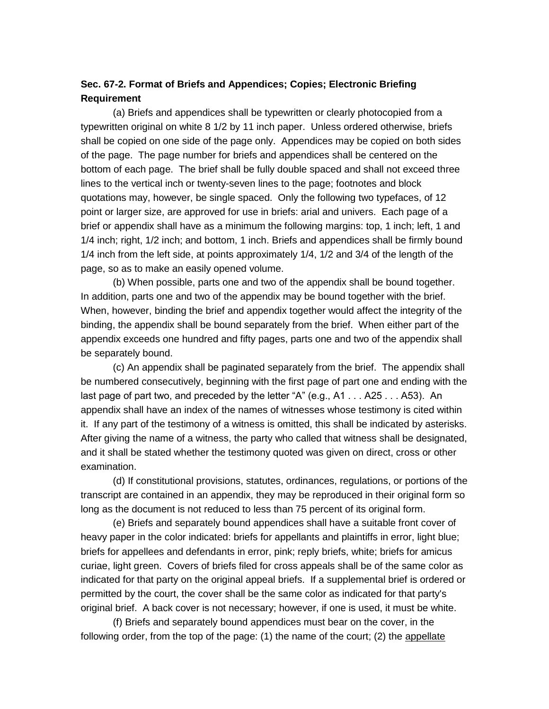# **Sec. 67-2. Format of Briefs and Appendices; Copies; Electronic Briefing Requirement**

(a) Briefs and appendices shall be typewritten or clearly photocopied from a typewritten original on white 8 1/2 by 11 inch paper. Unless ordered otherwise, briefs shall be copied on one side of the page only. Appendices may be copied on both sides of the page. The page number for briefs and appendices shall be centered on the bottom of each page. The brief shall be fully double spaced and shall not exceed three lines to the vertical inch or twenty-seven lines to the page; footnotes and block quotations may, however, be single spaced. Only the following two typefaces, of 12 point or larger size, are approved for use in briefs: arial and univers. Each page of a brief or appendix shall have as a minimum the following margins: top, 1 inch; left, 1 and 1/4 inch; right, 1/2 inch; and bottom, 1 inch. Briefs and appendices shall be firmly bound 1/4 inch from the left side, at points approximately 1/4, 1/2 and 3/4 of the length of the page, so as to make an easily opened volume.

(b) When possible, parts one and two of the appendix shall be bound together. In addition, parts one and two of the appendix may be bound together with the brief. When, however, binding the brief and appendix together would affect the integrity of the binding, the appendix shall be bound separately from the brief. When either part of the appendix exceeds one hundred and fifty pages, parts one and two of the appendix shall be separately bound.

(c) An appendix shall be paginated separately from the brief. The appendix shall be numbered consecutively, beginning with the first page of part one and ending with the last page of part two, and preceded by the letter "A" (e.g., A1  $\dots$  A25  $\dots$  A53). An appendix shall have an index of the names of witnesses whose testimony is cited within it. If any part of the testimony of a witness is omitted, this shall be indicated by asterisks. After giving the name of a witness, the party who called that witness shall be designated, and it shall be stated whether the testimony quoted was given on direct, cross or other examination.

(d) If constitutional provisions, statutes, ordinances, regulations, or portions of the transcript are contained in an appendix, they may be reproduced in their original form so long as the document is not reduced to less than 75 percent of its original form.

(e) Briefs and separately bound appendices shall have a suitable front cover of heavy paper in the color indicated: briefs for appellants and plaintiffs in error, light blue; briefs for appellees and defendants in error, pink; reply briefs, white; briefs for amicus curiae, light green. Covers of briefs filed for cross appeals shall be of the same color as indicated for that party on the original appeal briefs. If a supplemental brief is ordered or permitted by the court, the cover shall be the same color as indicated for that party's original brief. A back cover is not necessary; however, if one is used, it must be white.

(f) Briefs and separately bound appendices must bear on the cover, in the following order, from the top of the page: (1) the name of the court; (2) the appellate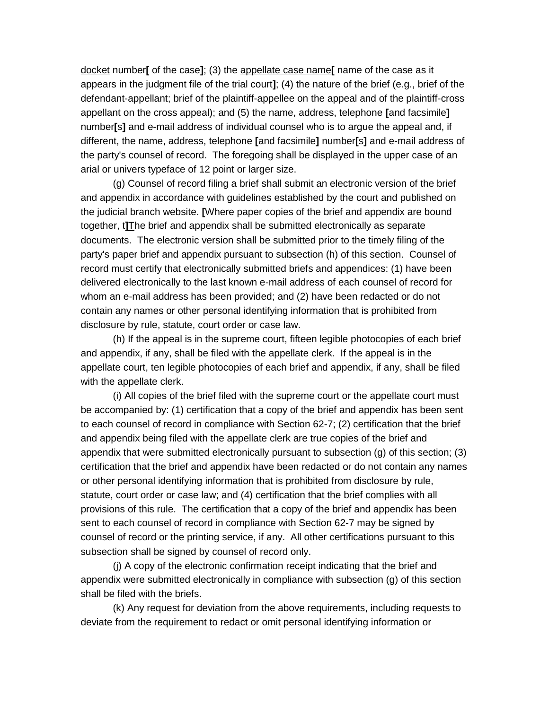docket number**[** of the case**]**; (3) the appellate case name**[** name of the case as it appears in the judgment file of the trial court**]**; (4) the nature of the brief (e.g., brief of the defendant-appellant; brief of the plaintiff-appellee on the appeal and of the plaintiff-cross appellant on the cross appeal); and (5) the name, address, telephone **[**and facsimile**]** number**[**s**]** and e-mail address of individual counsel who is to argue the appeal and, if different, the name, address, telephone **[**and facsimile**]** number**[**s**]** and e-mail address of the party's counsel of record. The foregoing shall be displayed in the upper case of an arial or univers typeface of 12 point or larger size.

(g) Counsel of record filing a brief shall submit an electronic version of the brief and appendix in accordance with guidelines established by the court and published on the judicial branch website. **[**Where paper copies of the brief and appendix are bound together, t**]**The brief and appendix shall be submitted electronically as separate documents. The electronic version shall be submitted prior to the timely filing of the party's paper brief and appendix pursuant to subsection (h) of this section. Counsel of record must certify that electronically submitted briefs and appendices: (1) have been delivered electronically to the last known e-mail address of each counsel of record for whom an e-mail address has been provided; and (2) have been redacted or do not contain any names or other personal identifying information that is prohibited from disclosure by rule, statute, court order or case law.

(h) If the appeal is in the supreme court, fifteen legible photocopies of each brief and appendix, if any, shall be filed with the appellate clerk. If the appeal is in the appellate court, ten legible photocopies of each brief and appendix, if any, shall be filed with the appellate clerk.

(i) All copies of the brief filed with the supreme court or the appellate court must be accompanied by: (1) certification that a copy of the brief and appendix has been sent to each counsel of record in compliance with Section 62-7; (2) certification that the brief and appendix being filed with the appellate clerk are true copies of the brief and appendix that were submitted electronically pursuant to subsection (g) of this section; (3) certification that the brief and appendix have been redacted or do not contain any names or other personal identifying information that is prohibited from disclosure by rule, statute, court order or case law; and (4) certification that the brief complies with all provisions of this rule. The certification that a copy of the brief and appendix has been sent to each counsel of record in compliance with Section 62-7 may be signed by counsel of record or the printing service, if any. All other certifications pursuant to this subsection shall be signed by counsel of record only.

(j) A copy of the electronic confirmation receipt indicating that the brief and appendix were submitted electronically in compliance with subsection (g) of this section shall be filed with the briefs.

(k) Any request for deviation from the above requirements, including requests to deviate from the requirement to redact or omit personal identifying information or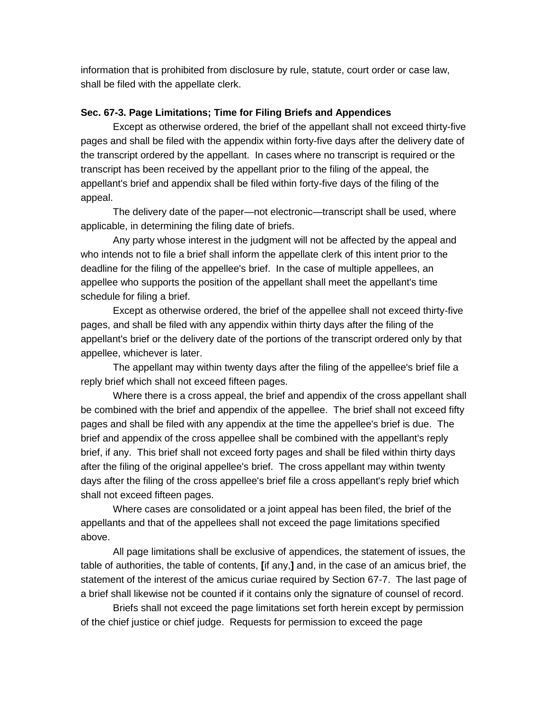information that is prohibited from disclosure by rule, statute, court order or case law, shall be filed with the appellate clerk.

## **Sec. 67-3. Page Limitations; Time for Filing Briefs and Appendices**

Except as otherwise ordered, the brief of the appellant shall not exceed thirty-five pages and shall be filed with the appendix within forty-five days after the delivery date of the transcript ordered by the appellant. In cases where no transcript is required or the transcript has been received by the appellant prior to the filing of the appeal, the appellant's brief and appendix shall be filed within forty-five days of the filing of the appeal.

The delivery date of the paper—not electronic—transcript shall be used, where applicable, in determining the filing date of briefs.

Any party whose interest in the judgment will not be affected by the appeal and who intends not to file a brief shall inform the appellate clerk of this intent prior to the deadline for the filing of the appellee's brief. In the case of multiple appellees, an appellee who supports the position of the appellant shall meet the appellant's time schedule for filing a brief.

Except as otherwise ordered, the brief of the appellee shall not exceed thirty-five pages, and shall be filed with any appendix within thirty days after the filing of the appellant's brief or the delivery date of the portions of the transcript ordered only by that appellee, whichever is later.

The appellant may within twenty days after the filing of the appellee's brief file a reply brief which shall not exceed fifteen pages.

Where there is a cross appeal, the brief and appendix of the cross appellant shall be combined with the brief and appendix of the appellee. The brief shall not exceed fifty pages and shall be filed with any appendix at the time the appellee's brief is due. The brief and appendix of the cross appellee shall be combined with the appellant's reply brief, if any. This brief shall not exceed forty pages and shall be filed within thirty days after the filing of the original appellee's brief. The cross appellant may within twenty days after the filing of the cross appellee's brief file a cross appellant's reply brief which shall not exceed fifteen pages.

Where cases are consolidated or a joint appeal has been filed, the brief of the appellants and that of the appellees shall not exceed the page limitations specified above.

All page limitations shall be exclusive of appendices, the statement of issues, the table of authorities, the table of contents, **[**if any,**]** and, in the case of an amicus brief, the statement of the interest of the amicus curiae required by Section 67-7. The last page of a brief shall likewise not be counted if it contains only the signature of counsel of record.

Briefs shall not exceed the page limitations set forth herein except by permission of the chief justice or chief judge. Requests for permission to exceed the page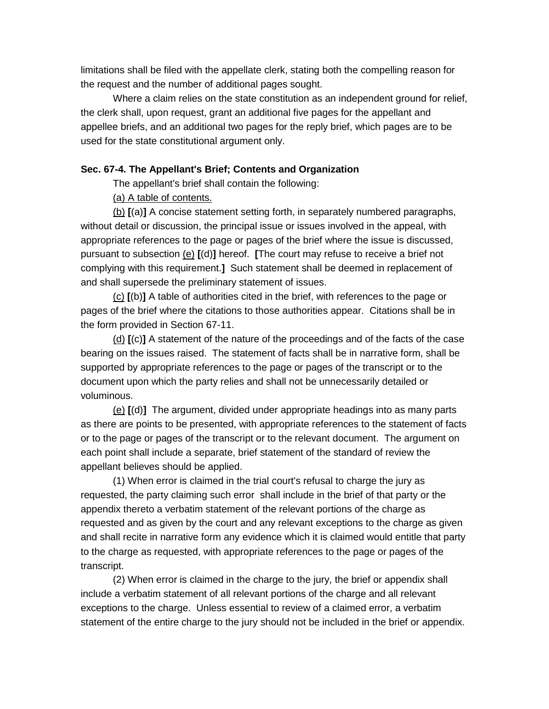limitations shall be filed with the appellate clerk, stating both the compelling reason for the request and the number of additional pages sought.

Where a claim relies on the state constitution as an independent ground for relief, the clerk shall, upon request, grant an additional five pages for the appellant and appellee briefs, and an additional two pages for the reply brief, which pages are to be used for the state constitutional argument only.

## **Sec. 67-4. The Appellant's Brief; Contents and Organization**

The appellant's brief shall contain the following:

(a) A table of contents.

(b) **[**(a)**]** A concise statement setting forth, in separately numbered paragraphs, without detail or discussion, the principal issue or issues involved in the appeal, with appropriate references to the page or pages of the brief where the issue is discussed, pursuant to subsection (e) **[**(d)**]** hereof. **[**The court may refuse to receive a brief not complying with this requirement.**]** Such statement shall be deemed in replacement of and shall supersede the preliminary statement of issues.

(c) **[**(b)**]** A table of authorities cited in the brief, with references to the page or pages of the brief where the citations to those authorities appear. Citations shall be in the form provided in Section 67-11.

(d) **[**(c)**]** A statement of the nature of the proceedings and of the facts of the case bearing on the issues raised. The statement of facts shall be in narrative form, shall be supported by appropriate references to the page or pages of the transcript or to the document upon which the party relies and shall not be unnecessarily detailed or voluminous.

(e) **[**(d)**]** The argument, divided under appropriate headings into as many parts as there are points to be presented, with appropriate references to the statement of facts or to the page or pages of the transcript or to the relevant document. The argument on each point shall include a separate, brief statement of the standard of review the appellant believes should be applied.

(1) When error is claimed in the trial court's refusal to charge the jury as requested, the party claiming such error shall include in the brief of that party or the appendix thereto a verbatim statement of the relevant portions of the charge as requested and as given by the court and any relevant exceptions to the charge as given and shall recite in narrative form any evidence which it is claimed would entitle that party to the charge as requested, with appropriate references to the page or pages of the transcript.

(2) When error is claimed in the charge to the jury, the brief or appendix shall include a verbatim statement of all relevant portions of the charge and all relevant exceptions to the charge. Unless essential to review of a claimed error, a verbatim statement of the entire charge to the jury should not be included in the brief or appendix.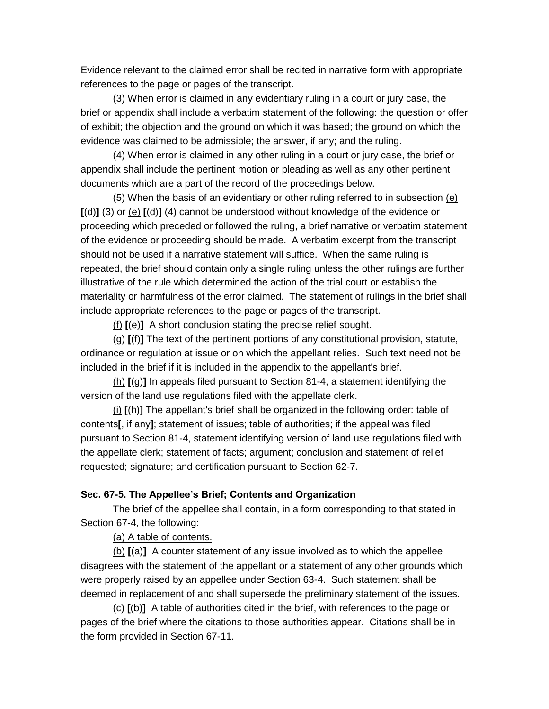Evidence relevant to the claimed error shall be recited in narrative form with appropriate references to the page or pages of the transcript.

(3) When error is claimed in any evidentiary ruling in a court or jury case, the brief or appendix shall include a verbatim statement of the following: the question or offer of exhibit; the objection and the ground on which it was based; the ground on which the evidence was claimed to be admissible; the answer, if any; and the ruling.

(4) When error is claimed in any other ruling in a court or jury case, the brief or appendix shall include the pertinent motion or pleading as well as any other pertinent documents which are a part of the record of the proceedings below.

(5) When the basis of an evidentiary or other ruling referred to in subsection (e) **[**(d)**]** (3) or (e) **[**(d)**]** (4) cannot be understood without knowledge of the evidence or proceeding which preceded or followed the ruling, a brief narrative or verbatim statement of the evidence or proceeding should be made. A verbatim excerpt from the transcript should not be used if a narrative statement will suffice. When the same ruling is repeated, the brief should contain only a single ruling unless the other rulings are further illustrative of the rule which determined the action of the trial court or establish the materiality or harmfulness of the error claimed. The statement of rulings in the brief shall include appropriate references to the page or pages of the transcript.

(f) **[**(e)**]** A short conclusion stating the precise relief sought.

(g) **[**(f)**]** The text of the pertinent portions of any constitutional provision, statute, ordinance or regulation at issue or on which the appellant relies. Such text need not be included in the brief if it is included in the appendix to the appellant's brief.

(h) **[**(g)**]** In appeals filed pursuant to Section 81-4, a statement identifying the version of the land use regulations filed with the appellate clerk.

(i) **[**(h)**]** The appellant's brief shall be organized in the following order: table of contents**[**, if any**]**; statement of issues; table of authorities; if the appeal was filed pursuant to Section 81-4, statement identifying version of land use regulations filed with the appellate clerk; statement of facts; argument; conclusion and statement of relief requested; signature; and certification pursuant to Section 62-7.

#### **Sec. 67-5. The Appellee's Brief; Contents and Organization**

The brief of the appellee shall contain, in a form corresponding to that stated in Section 67-4, the following:

(a) A table of contents.

(b) **[**(a)**]** A counter statement of any issue involved as to which the appellee disagrees with the statement of the appellant or a statement of any other grounds which were properly raised by an appellee under Section 63-4. Such statement shall be deemed in replacement of and shall supersede the preliminary statement of the issues.

(c) **[**(b)**]** A table of authorities cited in the brief, with references to the page or pages of the brief where the citations to those authorities appear. Citations shall be in the form provided in Section 67-11.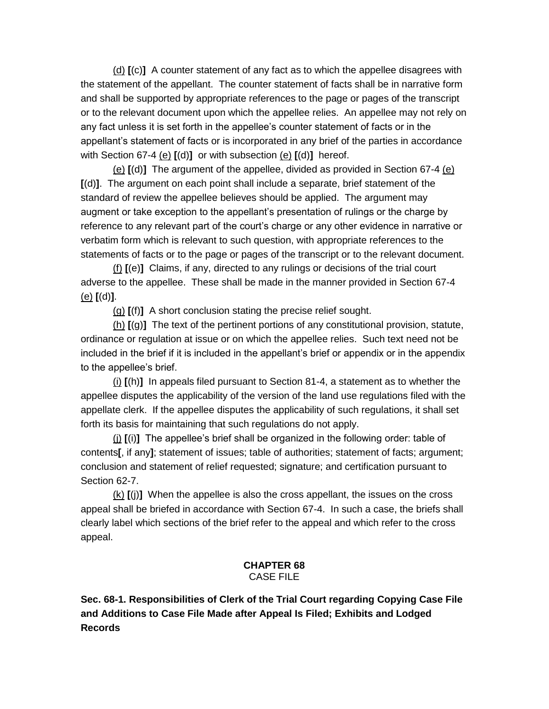(d) **[**(c)**]** A counter statement of any fact as to which the appellee disagrees with the statement of the appellant. The counter statement of facts shall be in narrative form and shall be supported by appropriate references to the page or pages of the transcript or to the relevant document upon which the appellee relies. An appellee may not rely on any fact unless it is set forth in the appellee's counter statement of facts or in the appellant's statement of facts or is incorporated in any brief of the parties in accordance with Section 67-4 (e) **[**(d)**]** or with subsection (e) **[**(d)**]** hereof.

(e) **[**(d)**]** The argument of the appellee, divided as provided in Section 67-4 (e) **[**(d)**]**. The argument on each point shall include a separate, brief statement of the standard of review the appellee believes should be applied. The argument may augment or take exception to the appellant's presentation of rulings or the charge by reference to any relevant part of the court's charge or any other evidence in narrative or verbatim form which is relevant to such question, with appropriate references to the statements of facts or to the page or pages of the transcript or to the relevant document.

(f) **[**(e)**]** Claims, if any, directed to any rulings or decisions of the trial court adverse to the appellee. These shall be made in the manner provided in Section 67-4 (e) **[**(d)**]**.

(g) **[**(f)**]** A short conclusion stating the precise relief sought.

(h) **[**(g)**]** The text of the pertinent portions of any constitutional provision, statute, ordinance or regulation at issue or on which the appellee relies. Such text need not be included in the brief if it is included in the appellant's brief or appendix or in the appendix to the appellee's brief.

(i) **[**(h)**]** In appeals filed pursuant to Section 81-4, a statement as to whether the appellee disputes the applicability of the version of the land use regulations filed with the appellate clerk. If the appellee disputes the applicability of such regulations, it shall set forth its basis for maintaining that such regulations do not apply.

(j) **[**(i)**]** The appellee's brief shall be organized in the following order: table of contents**[**, if any**]**; statement of issues; table of authorities; statement of facts; argument; conclusion and statement of relief requested; signature; and certification pursuant to Section 62-7.

(k) **[**(j)**]** When the appellee is also the cross appellant, the issues on the cross appeal shall be briefed in accordance with Section 67-4. In such a case, the briefs shall clearly label which sections of the brief refer to the appeal and which refer to the cross appeal.

#### **CHAPTER 68** CASE FILE

**Sec. 68-1. Responsibilities of Clerk of the Trial Court regarding Copying Case File and Additions to Case File Made after Appeal Is Filed; Exhibits and Lodged Records**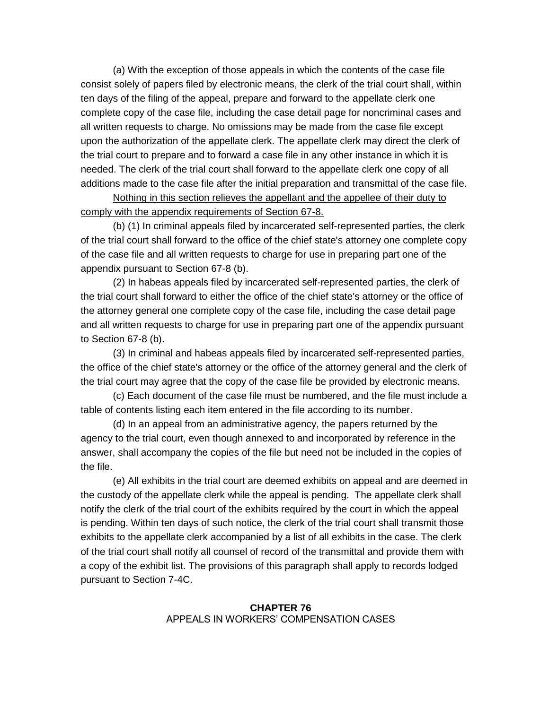(a) With the exception of those appeals in which the contents of the case file consist solely of papers filed by electronic means, the clerk of the trial court shall, within ten days of the filing of the appeal, prepare and forward to the appellate clerk one complete copy of the case file, including the case detail page for noncriminal cases and all written requests to charge. No omissions may be made from the case file except upon the authorization of the appellate clerk. The appellate clerk may direct the clerk of the trial court to prepare and to forward a case file in any other instance in which it is needed. The clerk of the trial court shall forward to the appellate clerk one copy of all additions made to the case file after the initial preparation and transmittal of the case file.

Nothing in this section relieves the appellant and the appellee of their duty to comply with the appendix requirements of Section 67-8.

(b) (1) In criminal appeals filed by incarcerated self-represented parties, the clerk of the trial court shall forward to the office of the chief state's attorney one complete copy of the case file and all written requests to charge for use in preparing part one of the appendix pursuant to Section 67-8 (b).

(2) In habeas appeals filed by incarcerated self-represented parties, the clerk of the trial court shall forward to either the office of the chief state's attorney or the office of the attorney general one complete copy of the case file, including the case detail page and all written requests to charge for use in preparing part one of the appendix pursuant to Section 67-8 (b).

(3) In criminal and habeas appeals filed by incarcerated self-represented parties, the office of the chief state's attorney or the office of the attorney general and the clerk of the trial court may agree that the copy of the case file be provided by electronic means.

(c) Each document of the case file must be numbered, and the file must include a table of contents listing each item entered in the file according to its number.

(d) In an appeal from an administrative agency, the papers returned by the agency to the trial court, even though annexed to and incorporated by reference in the answer, shall accompany the copies of the file but need not be included in the copies of the file.

(e) All exhibits in the trial court are deemed exhibits on appeal and are deemed in the custody of the appellate clerk while the appeal is pending. The appellate clerk shall notify the clerk of the trial court of the exhibits required by the court in which the appeal is pending. Within ten days of such notice, the clerk of the trial court shall transmit those exhibits to the appellate clerk accompanied by a list of all exhibits in the case. The clerk of the trial court shall notify all counsel of record of the transmittal and provide them with a copy of the exhibit list. The provisions of this paragraph shall apply to records lodged pursuant to Section 7-4C.

### **CHAPTER 76** APPEALS IN WORKERS' COMPENSATION CASES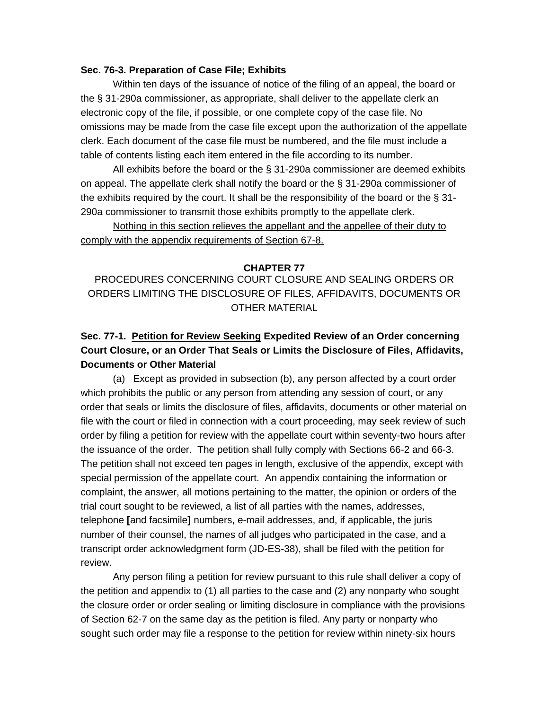#### **Sec. 76-3. Preparation of Case File; Exhibits**

Within ten days of the issuance of notice of the filing of an appeal, the board or the § 31-290a commissioner, as appropriate, shall deliver to the appellate clerk an electronic copy of the file, if possible, or one complete copy of the case file. No omissions may be made from the case file except upon the authorization of the appellate clerk. Each document of the case file must be numbered, and the file must include a table of contents listing each item entered in the file according to its number.

All exhibits before the board or the § 31-290a commissioner are deemed exhibits on appeal. The appellate clerk shall notify the board or the § 31-290a commissioner of the exhibits required by the court. It shall be the responsibility of the board or the § 31- 290a commissioner to transmit those exhibits promptly to the appellate clerk.

Nothing in this section relieves the appellant and the appellee of their duty to comply with the appendix requirements of Section 67-8.

#### **CHAPTER 77**

PROCEDURES CONCERNING COURT CLOSURE AND SEALING ORDERS OR ORDERS LIMITING THE DISCLOSURE OF FILES, AFFIDAVITS, DOCUMENTS OR OTHER MATERIAL

# **Sec. 77-1. Petition for Review Seeking Expedited Review of an Order concerning Court Closure, or an Order That Seals or Limits the Disclosure of Files, Affidavits, Documents or Other Material**

(a) Except as provided in subsection (b), any person affected by a court order which prohibits the public or any person from attending any session of court, or any order that seals or limits the disclosure of files, affidavits, documents or other material on file with the court or filed in connection with a court proceeding, may seek review of such order by filing a petition for review with the appellate court within seventy-two hours after the issuance of the order. The petition shall fully comply with Sections 66-2 and 66-3. The petition shall not exceed ten pages in length, exclusive of the appendix, except with special permission of the appellate court. An appendix containing the information or complaint, the answer, all motions pertaining to the matter, the opinion or orders of the trial court sought to be reviewed, a list of all parties with the names, addresses, telephone **[**and facsimile**]** numbers, e-mail addresses, and, if applicable, the juris number of their counsel, the names of all judges who participated in the case, and a transcript order acknowledgment form (JD-ES-38), shall be filed with the petition for review.

Any person filing a petition for review pursuant to this rule shall deliver a copy of the petition and appendix to (1) all parties to the case and (2) any nonparty who sought the closure order or order sealing or limiting disclosure in compliance with the provisions of Section 62-7 on the same day as the petition is filed. Any party or nonparty who sought such order may file a response to the petition for review within ninety-six hours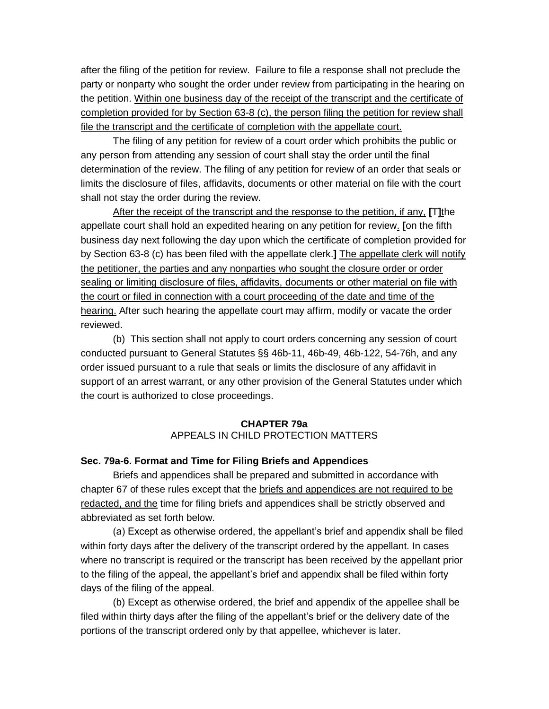after the filing of the petition for review. Failure to file a response shall not preclude the party or nonparty who sought the order under review from participating in the hearing on the petition. Within one business day of the receipt of the transcript and the certificate of completion provided for by Section 63-8 (c), the person filing the petition for review shall file the transcript and the certificate of completion with the appellate court.

The filing of any petition for review of a court order which prohibits the public or any person from attending any session of court shall stay the order until the final determination of the review. The filing of any petition for review of an order that seals or limits the disclosure of files, affidavits, documents or other material on file with the court shall not stay the order during the review.

After the receipt of the transcript and the response to the petition, if any, **[**T**]**the appellate court shall hold an expedited hearing on any petition for review. **[**on the fifth business day next following the day upon which the certificate of completion provided for by Section 63-8 (c) has been filed with the appellate clerk.**]** The appellate clerk will notify the petitioner, the parties and any nonparties who sought the closure order or order sealing or limiting disclosure of files, affidavits, documents or other material on file with the court or filed in connection with a court proceeding of the date and time of the hearing. After such hearing the appellate court may affirm, modify or vacate the order reviewed.

(b) This section shall not apply to court orders concerning any session of court conducted pursuant to General Statutes §§ 46b-11, 46b-49, 46b-122, 54-76h, and any order issued pursuant to a rule that seals or limits the disclosure of any affidavit in support of an arrest warrant, or any other provision of the General Statutes under which the court is authorized to close proceedings.

# **CHAPTER 79a** APPEALS IN CHILD PROTECTION MATTERS

# **Sec. 79a-6. Format and Time for Filing Briefs and Appendices**

Briefs and appendices shall be prepared and submitted in accordance with chapter 67 of these rules except that the briefs and appendices are not required to be redacted, and the time for filing briefs and appendices shall be strictly observed and abbreviated as set forth below.

(a) Except as otherwise ordered, the appellant's brief and appendix shall be filed within forty days after the delivery of the transcript ordered by the appellant. In cases where no transcript is required or the transcript has been received by the appellant prior to the filing of the appeal, the appellant's brief and appendix shall be filed within forty days of the filing of the appeal.

(b) Except as otherwise ordered, the brief and appendix of the appellee shall be filed within thirty days after the filing of the appellant's brief or the delivery date of the portions of the transcript ordered only by that appellee, whichever is later.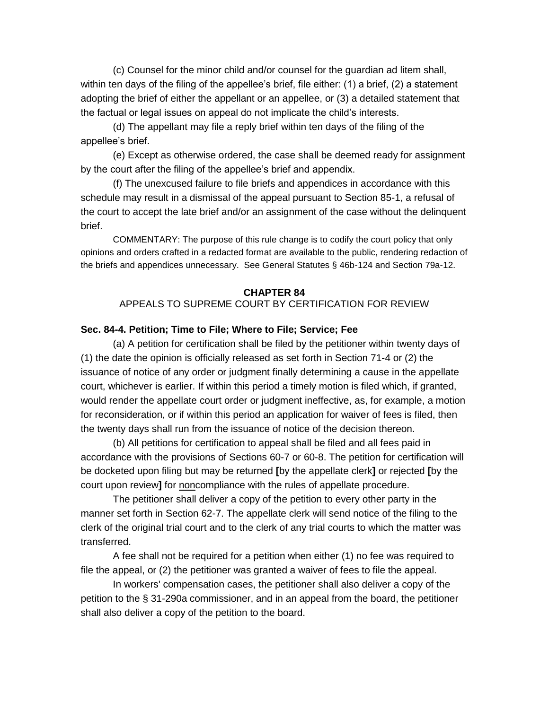(c) Counsel for the minor child and/or counsel for the guardian ad litem shall, within ten days of the filing of the appellee's brief, file either: (1) a brief, (2) a statement adopting the brief of either the appellant or an appellee, or (3) a detailed statement that the factual or legal issues on appeal do not implicate the child's interests.

(d) The appellant may file a reply brief within ten days of the filing of the appellee's brief.

(e) Except as otherwise ordered, the case shall be deemed ready for assignment by the court after the filing of the appellee's brief and appendix.

(f) The unexcused failure to file briefs and appendices in accordance with this schedule may result in a dismissal of the appeal pursuant to Section 85-1, a refusal of the court to accept the late brief and/or an assignment of the case without the delinquent brief.

COMMENTARY: The purpose of this rule change is to codify the court policy that only opinions and orders crafted in a redacted format are available to the public, rendering redaction of the briefs and appendices unnecessary. See General Statutes § 46b-124 and Section 79a-12.

#### **CHAPTER 84**

## APPEALS TO SUPREME COURT BY CERTIFICATION FOR REVIEW

## **Sec. 84-4. Petition; Time to File; Where to File; Service; Fee**

(a) A petition for certification shall be filed by the petitioner within twenty days of (1) the date the opinion is officially released as set forth in Section 71-4 or (2) the issuance of notice of any order or judgment finally determining a cause in the appellate court, whichever is earlier. If within this period a timely motion is filed which, if granted, would render the appellate court order or judgment ineffective, as, for example, a motion for reconsideration, or if within this period an application for waiver of fees is filed, then the twenty days shall run from the issuance of notice of the decision thereon.

(b) All petitions for certification to appeal shall be filed and all fees paid in accordance with the provisions of Sections 60-7 or 60-8. The petition for certification will be docketed upon filing but may be returned **[**by the appellate clerk**]** or rejected **[**by the court upon review**]** for noncompliance with the rules of appellate procedure.

The petitioner shall deliver a copy of the petition to every other party in the manner set forth in Section 62-7. The appellate clerk will send notice of the filing to the clerk of the original trial court and to the clerk of any trial courts to which the matter was transferred.

A fee shall not be required for a petition when either (1) no fee was required to file the appeal, or (2) the petitioner was granted a waiver of fees to file the appeal.

In workers' compensation cases, the petitioner shall also deliver a copy of the petition to the § 31-290a commissioner, and in an appeal from the board, the petitioner shall also deliver a copy of the petition to the board.